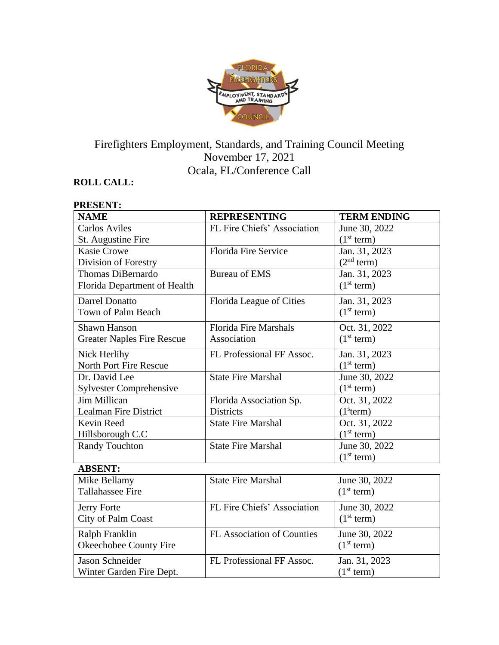

# Firefighters Employment, Standards, and Training Council Meeting November 17, 2021 Ocala, FL/Conference Call

# **ROLL CALL:**

Ralph Franklin

Jason Schneider

Okeechobee County Fire

Winter Garden Fire Dept.

| <b>PRESENT:</b>                   |                              |                        |
|-----------------------------------|------------------------------|------------------------|
| <b>NAME</b>                       | <b>REPRESENTING</b>          | <b>TERM ENDING</b>     |
| <b>Carlos Aviles</b>              | FL Fire Chiefs' Association  | June 30, 2022          |
| St. Augustine Fire                |                              | (1 <sup>st</sup> term) |
| <b>Kasie Crowe</b>                | <b>Florida Fire Service</b>  | Jan. 31, 2023          |
| Division of Forestry              |                              | (2 <sup>nd</sup> term) |
| <b>Thomas DiBernardo</b>          | <b>Bureau of EMS</b>         | Jan. 31, 2023          |
| Florida Department of Health      |                              | (1 <sup>st</sup> term) |
| <b>Darrel Donatto</b>             | Florida League of Cities     | Jan. 31, 2023          |
| <b>Town of Palm Beach</b>         |                              | (1 <sup>st</sup> term) |
| <b>Shawn Hanson</b>               | <b>Florida Fire Marshals</b> | Oct. 31, 2022          |
| <b>Greater Naples Fire Rescue</b> | Association                  | (1 <sup>st</sup> term) |
| Nick Herlihy                      | FL Professional FF Assoc.    | Jan. 31, 2023          |
| <b>North Port Fire Rescue</b>     |                              | (1 <sup>st</sup> term) |
| Dr. David Lee                     | <b>State Fire Marshal</b>    | June 30, 2022          |
| <b>Sylvester Comprehensive</b>    |                              | (1 <sup>st</sup> term) |
| <b>Jim Millican</b>               | Florida Association Sp.      | Oct. 31, 2022          |
| <b>Lealman Fire District</b>      | <b>Districts</b>             | (1 <sup>s</sup> term)  |
| Kevin Reed                        | <b>State Fire Marshal</b>    | Oct. 31, 2022          |
| Hillsborough C.C                  |                              | (1 <sup>st</sup> term) |
| <b>Randy Touchton</b>             | <b>State Fire Marshal</b>    | June 30, 2022          |
|                                   |                              | (1 <sup>st</sup> term) |
| <b>ABSENT:</b>                    |                              |                        |
| Mike Bellamy                      | <b>State Fire Marshal</b>    | June 30, 2022          |
| <b>Tallahassee Fire</b>           |                              | (1 <sup>st</sup> term) |
| Jerry Forte                       | FL Fire Chiefs' Association  | June 30, 2022          |
| <b>City of Palm Coast</b>         |                              | (1 <sup>st</sup> term) |

FL Association of Counties June 30, 2022

FL Professional FF Assoc. Jan. 31, 2023

 $(1<sup>st</sup> term)$ 

 $(1<sup>st</sup> term)$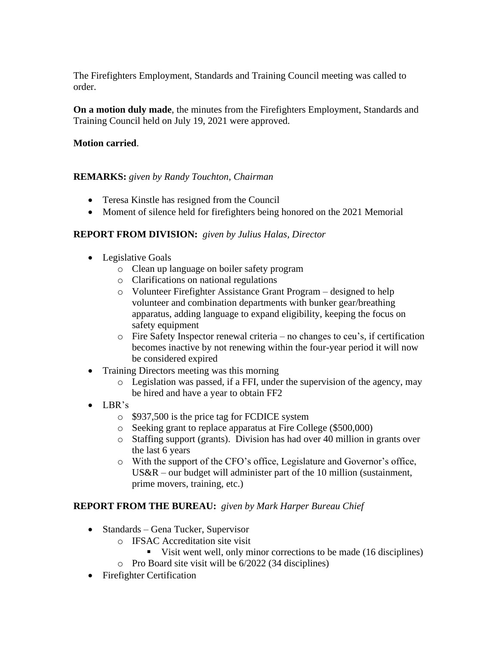The Firefighters Employment, Standards and Training Council meeting was called to order.

**On a motion duly made**, the minutes from the Firefighters Employment, Standards and Training Council held on July 19, 2021 were approved.

#### **Motion carried**.

#### **REMARKS:** *given by Randy Touchton, Chairman*

- Teresa Kinstle has resigned from the Council
- Moment of silence held for firefighters being honored on the 2021 Memorial

### **REPORT FROM DIVISION:** *given by Julius Halas, Director*

- Legislative Goals
	- o Clean up language on boiler safety program
	- o Clarifications on national regulations
	- o Volunteer Firefighter Assistance Grant Program designed to help volunteer and combination departments with bunker gear/breathing apparatus, adding language to expand eligibility, keeping the focus on safety equipment
	- o Fire Safety Inspector renewal criteria no changes to ceu's, if certification becomes inactive by not renewing within the four-year period it will now be considered expired
- Training Directors meeting was this morning
	- o Legislation was passed, if a FFI, under the supervision of the agency, may be hired and have a year to obtain FF2
- LBR's
	- o \$937,500 is the price tag for FCDICE system
	- o Seeking grant to replace apparatus at Fire College (\$500,000)
	- o Staffing support (grants). Division has had over 40 million in grants over the last 6 years
	- o With the support of the CFO's office, Legislature and Governor's office, US&R – our budget will administer part of the 10 million (sustainment, prime movers, training, etc.)

## **REPORT FROM THE BUREAU:** *given by Mark Harper Bureau Chief*

- Standards Gena Tucker, Supervisor
	- o IFSAC Accreditation site visit
		- Visit went well, only minor corrections to be made (16 disciplines)
	- o Pro Board site visit will be 6/2022 (34 disciplines)
- Firefighter Certification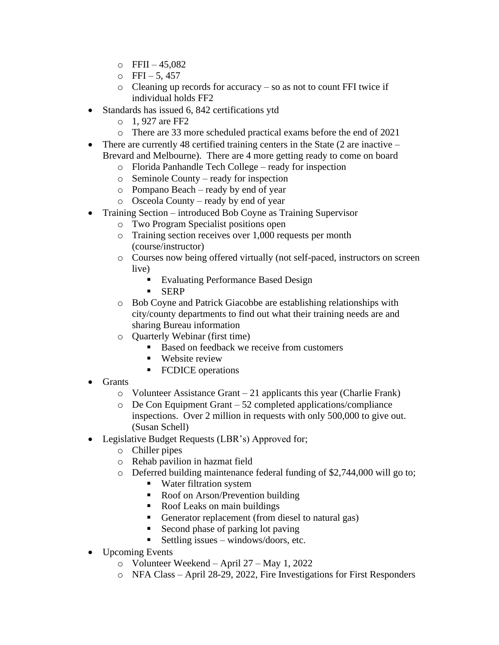- $O$  FFII 45,082
- $\circ$  FFI 5,457
- o Cleaning up records for accuracy so as not to count FFI twice if individual holds FF2
- Standards has issued 6, 842 certifications ytd
	- o 1, 927 are FF2
	- o There are 33 more scheduled practical exams before the end of 2021
- There are currently 48 certified training centers in the State (2 are inactive Brevard and Melbourne). There are 4 more getting ready to come on board
	- o Florida Panhandle Tech College ready for inspection
	- o Seminole County ready for inspection
	- o Pompano Beach ready by end of year
	- o Osceola County ready by end of year
- Training Section introduced Bob Coyne as Training Supervisor
	- o Two Program Specialist positions open
	- o Training section receives over 1,000 requests per month (course/instructor)
	- o Courses now being offered virtually (not self-paced, instructors on screen live)
		- Evaluating Performance Based Design
		- SERP
	- o Bob Coyne and Patrick Giacobbe are establishing relationships with city/county departments to find out what their training needs are and sharing Bureau information
	- o Quarterly Webinar (first time)
		- Based on feedback we receive from customers
		- Website review
		- FCDICE operations
- Grants
	- o Volunteer Assistance Grant 21 applicants this year (Charlie Frank)
	- $\circ$  De Con Equipment Grant 52 completed applications/compliance inspections. Over 2 million in requests with only 500,000 to give out. (Susan Schell)
- Legislative Budget Requests (LBR's) Approved for;
	- o Chiller pipes
	- o Rehab pavilion in hazmat field
	- o Deferred building maintenance federal funding of \$2,744,000 will go to;
		- Water filtration system
		- Roof on Arson/Prevention building
		- Roof Leaks on main buildings
		- Generator replacement (from diesel to natural gas)
		- Second phase of parking lot paving
		- Executing issues windows/doors, etc.
- Upcoming Events
	- o Volunteer Weekend April 27 May 1, 2022
	- o NFA Class April 28-29, 2022, Fire Investigations for First Responders